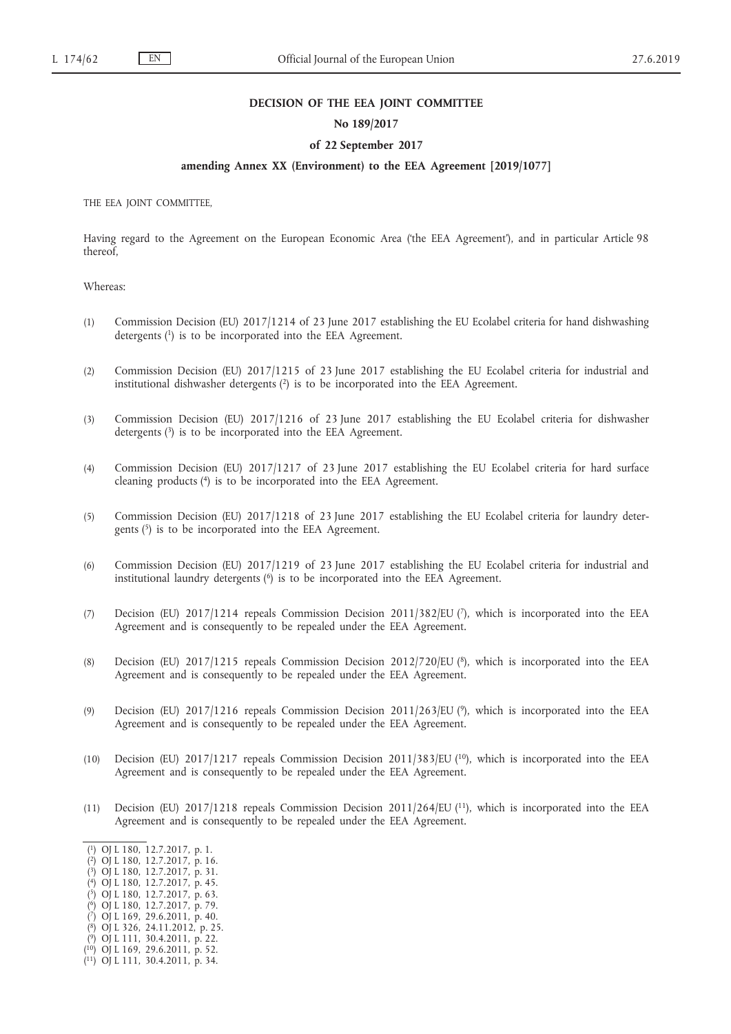#### **DECISION OF THE EEA JOINT COMMITTEE**

### **No 189/2017**

## **of 22 September 2017**

## **amending Annex XX (Environment) to the EEA Agreement [2019/1077]**

THE EEA JOINT COMMITTEE,

Having regard to the Agreement on the European Economic Area ('the EEA Agreement'), and in particular Article 98 thereof,

### Whereas:

- (1) Commission Decision (EU) 2017/1214 of 23 June 2017 establishing the EU Ecolabel criteria for hand dishwashing detergents (1) is to be incorporated into the EEA Agreement.
- (2) Commission Decision (EU) 2017/1215 of 23 June 2017 establishing the EU Ecolabel criteria for industrial and institutional dishwasher detergents (2) is to be incorporated into the EEA Agreement.
- (3) Commission Decision (EU) 2017/1216 of 23 June 2017 establishing the EU Ecolabel criteria for dishwasher detergents  $(3)$  is to be incorporated into the EEA Agreement.
- (4) Commission Decision (EU) 2017/1217 of 23 June 2017 establishing the EU Ecolabel criteria for hard surface cleaning products (4) is to be incorporated into the EEA Agreement.
- (5) Commission Decision (EU) 2017/1218 of 23 June 2017 establishing the EU Ecolabel criteria for laundry detergents (5) is to be incorporated into the EEA Agreement.
- (6) Commission Decision (EU) 2017/1219 of 23 June 2017 establishing the EU Ecolabel criteria for industrial and institutional laundry detergents  $(6)$  is to be incorporated into the EEA Agreement.
- (7) Decision (EU) 2017/1214 repeals Commission Decision 2011/382/EU (7), which is incorporated into the EEA Agreement and is consequently to be repealed under the EEA Agreement.
- (8) Decision (EU) 2017/1215 repeals Commission Decision 2012/720/EU (8), which is incorporated into the EEA Agreement and is consequently to be repealed under the EEA Agreement.
- (9) Decision (EU) 2017/1216 repeals Commission Decision 2011/263/EU (9), which is incorporated into the EEA Agreement and is consequently to be repealed under the EEA Agreement.
- (10) Decision (EU) 2017/1217 repeals Commission Decision 2011/383/EU (10), which is incorporated into the EEA Agreement and is consequently to be repealed under the EEA Agreement.
- (11) Decision (EU) 2017/1218 repeals Commission Decision 2011/264/EU (11), which is incorporated into the EEA Agreement and is consequently to be repealed under the EEA Agreement.

- ( 2) OJ L 180, 12.7.2017, p. 16.
- ( 3) OJ L 180, 12.7.2017, p. 31.
- ( 4) OJ L 180, 12.7.2017, p. 45.
- ( 5) OJ L 180, 12.7.2017, p. 63.
- ( 6) OJ L 180, 12.7.2017, p. 79.
- ( 7) OJ L 169, 29.6.2011, p. 40.
- ( 8) OJ L 326, 24.11.2012, p. 25.
- ( 9) OJ L 111, 30.4.2011, p. 22. ( 10) OJ L 169, 29.6.2011, p. 52.

<sup>(</sup> 1) OJ L 180, 12.7.2017, p. 1.

<sup>(</sup> 11) OJ L 111, 30.4.2011, p. 34.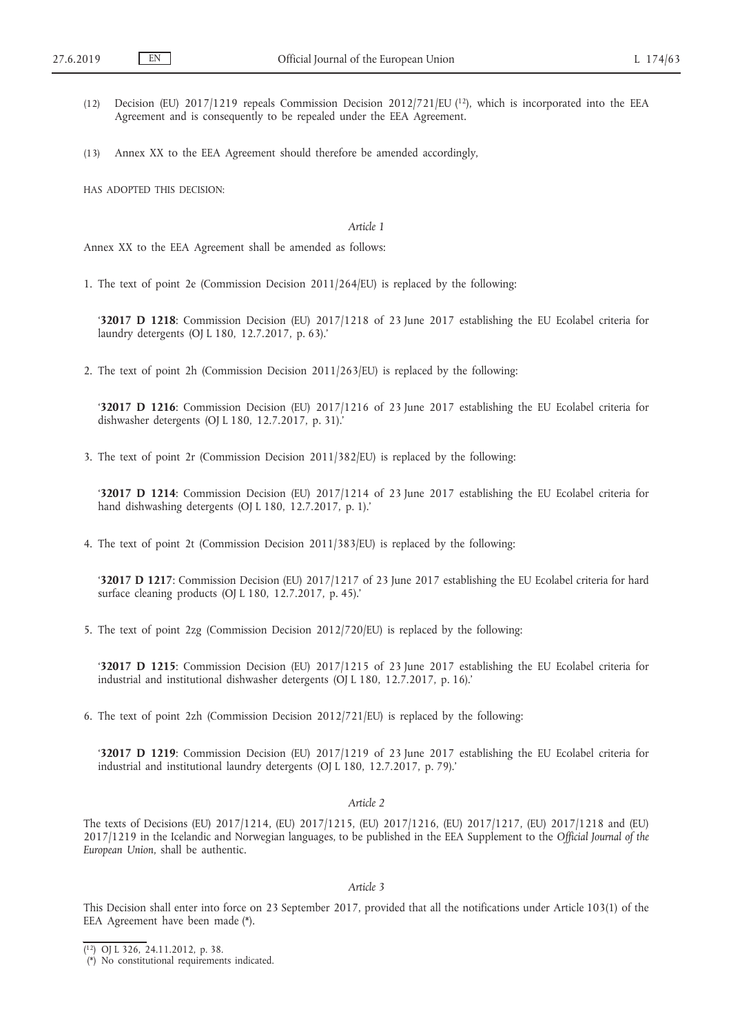- (12) Decision (EU) 2017/1219 repeals Commission Decision 2012/721/EU (12), which is incorporated into the EEA Agreement and is consequently to be repealed under the EEA Agreement.
- (13) Annex XX to the EEA Agreement should therefore be amended accordingly,

HAS ADOPTED THIS DECISION:

#### *Article 1*

Annex XX to the EEA Agreement shall be amended as follows:

1. The text of point 2e (Commission Decision 2011/264/EU) is replaced by the following:

'**32017 D 1218**: Commission Decision (EU) 2017/1218 of 23 June 2017 establishing the EU Ecolabel criteria for laundry detergents (OJ L 180, 12.7.2017, p. 63).'

2. The text of point 2h (Commission Decision 2011/263/EU) is replaced by the following:

'**32017 D 1216**: Commission Decision (EU) 2017/1216 of 23 June 2017 establishing the EU Ecolabel criteria for dishwasher detergents (OJ L 180, 12.7.2017, p. 31).'

3. The text of point 2r (Commission Decision 2011/382/EU) is replaced by the following:

'**32017 D 1214**: Commission Decision (EU) 2017/1214 of 23 June 2017 establishing the EU Ecolabel criteria for hand dishwashing detergents (OJ L 180, 12.7.2017, p. 1).'

4. The text of point 2t (Commission Decision 2011/383/EU) is replaced by the following:

'**32017 D 1217**: Commission Decision (EU) 2017/1217 of 23 June 2017 establishing the EU Ecolabel criteria for hard surface cleaning products (OJ L 180, 12.7.2017, p. 45).'

5. The text of point 2zg (Commission Decision 2012/720/EU) is replaced by the following:

'**32017 D 1215**: Commission Decision (EU) 2017/1215 of 23 June 2017 establishing the EU Ecolabel criteria for industrial and institutional dishwasher detergents (OJ L 180, 12.7.2017, p. 16).'

6. The text of point 2zh (Commission Decision 2012/721/EU) is replaced by the following:

'**32017 D 1219**: Commission Decision (EU) 2017/1219 of 23 June 2017 establishing the EU Ecolabel criteria for industrial and institutional laundry detergents (OJ L 180, 12.7.2017, p. 79).'

#### *Article 2*

The texts of Decisions (EU) 2017/1214, (EU) 2017/1215, (EU) 2017/1216, (EU) 2017/1217, (EU) 2017/1218 and (EU) 2017/1219 in the Icelandic and Norwegian languages, to be published in the EEA Supplement to the *Official Journal of the European Union*, shall be authentic.

## *Article 3*

This Decision shall enter into force on 23 September 2017, provided that all the notifications under Article 103(1) of the EEA Agreement have been made (\*).

<sup>(</sup> 12) OJ L 326, 24.11.2012, p. 38.

<sup>(\*)</sup> No constitutional requirements indicated.